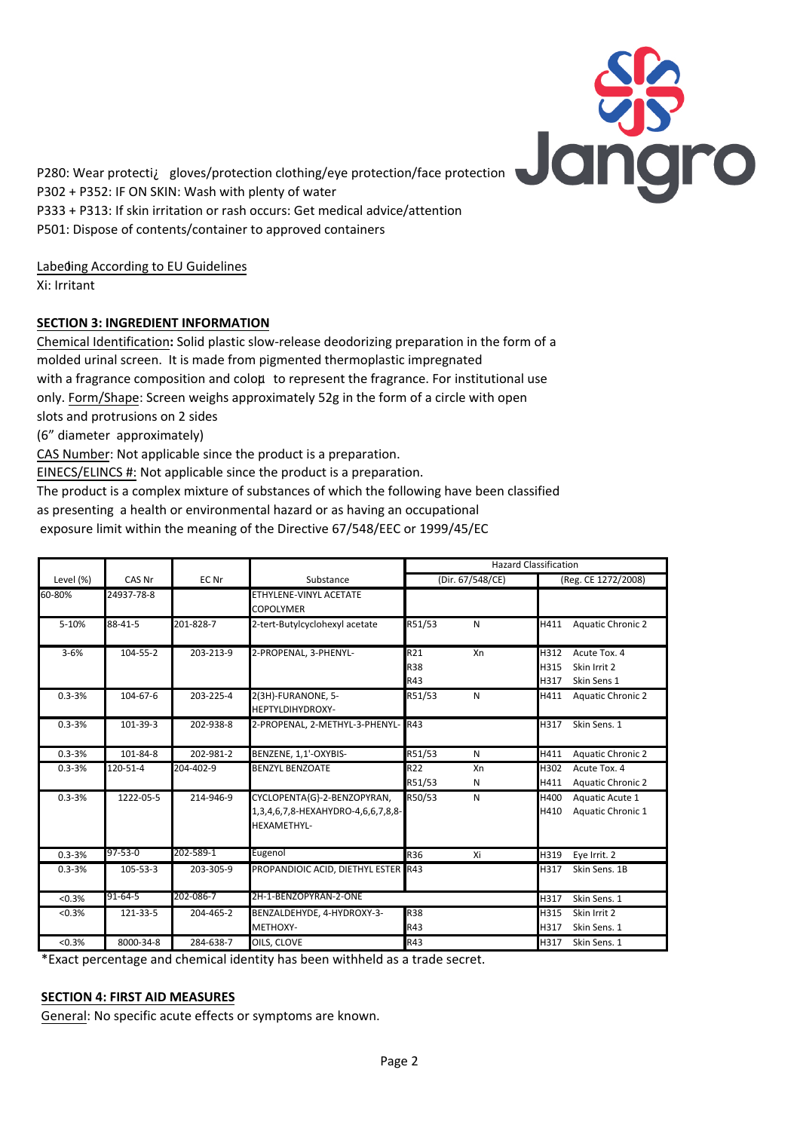

P280: Wear protectiÀ gloves/protection clothing/eye protection/face protection P302 + P352: IF ON SKIN: Wash with plenty of water P333 + P313: If skin irritation or rash occurs: Get medical advice/attention P501: Dispose of contents/container to approved containers

Labeding According to EU Guidelines

Xi: Irritant

# **SECTION 3: INGREDIENT INFORMATION**

Chemical Identification**:** Solid plastic slow-release deodorizing preparation in the form of a molded urinal screen. It is made from pigmented thermoplastic impregnated with a fragrance composition and coloµ to represent the fragrance. For institutional use only. Form/Shape: Screen weighs approximately 52g in the form of a circle with open slots and protrusions on 2 sides

(6" diameter approximately)

CAS Number: Not applicable since the product is a preparation.

EINECS/ELINCS #: Not applicable since the product is a preparation.

The product is a complex mixture of substances of which the following have been classified as presenting a health or environmental hazard or as having an occupational

exposure limit within the meaning of the Directive 67/548/EEC or 1999/45/EC

|            |                |           |                                     | <b>Hazard Classification</b> |    |                     |                          |
|------------|----------------|-----------|-------------------------------------|------------------------------|----|---------------------|--------------------------|
| Level (%)  | CAS Nr         | EC Nr     | Substance                           | (Dir. 67/548/CE)             |    | (Reg. CE 1272/2008) |                          |
| 60-80%     | 24937-78-8     |           | ETHYLENE-VINYL ACETATE              |                              |    |                     |                          |
|            |                |           | <b>COPOLYMER</b>                    |                              |    |                     |                          |
| 5-10%      | 88-41-5        | 201-828-7 | 2-tert-Butylcyclohexyl acetate      | R51/53                       | N  | H411                | <b>Aquatic Chronic 2</b> |
| $3 - 6%$   | 104-55-2       | 203-213-9 | 2-PROPENAL, 3-PHENYL-               | R21                          | Xn | H312                | Acute Tox. 4             |
|            |                |           |                                     | <b>R38</b>                   |    | H315                | Skin Irrit 2             |
|            |                |           |                                     | R43                          |    | H317                | Skin Sens 1              |
| $0.3 - 3%$ | $104 - 67 - 6$ | 203-225-4 | 2(3H)-FURANONE, 5-                  | R51/53                       | N  | H411                | <b>Aquatic Chronic 2</b> |
|            |                |           | <b>HEPTYLDIHYDROXY-</b>             |                              |    |                     |                          |
| $0.3 - 3%$ | 101-39-3       | 202-938-8 | 2-PROPENAL, 2-METHYL-3-PHENYL-R43   |                              |    | H317                | Skin Sens. 1             |
| $0.3 - 3%$ | 101-84-8       | 202-981-2 | BENZENE, 1,1'-OXYBIS-               | R51/53                       | N  | H411                | <b>Aquatic Chronic 2</b> |
| $0.3 - 3%$ | 120-51-4       | 204-402-9 | <b>BENZYL BENZOATE</b>              | R22                          | Xn | H302                | Acute Tox. 4             |
|            |                |           |                                     | R51/53                       | N  | H411                | <b>Aquatic Chronic 2</b> |
| $0.3 - 3%$ | 1222-05-5      | 214-946-9 | CYCLOPENTA{G}-2-BENZOPYRAN,         | R50/53                       | N  | H400                | Aquatic Acute 1          |
|            |                |           | 1,3,4,6,7,8-HEXAHYDRO-4,6,6,7,8,8-  |                              |    | H410                | Aquatic Chronic 1        |
|            |                |           | <b>HEXAMETHYL-</b>                  |                              |    |                     |                          |
| $0.3 - 3%$ | 97-53-0        | 202-589-1 | Eugenol                             | R36                          | Xi | H319                | Eye Irrit. 2             |
| $0.3 - 3%$ | 105-53-3       | 203-305-9 | PROPANDIOIC ACID, DIETHYL ESTER R43 |                              |    | H317                | Skin Sens. 1B            |
| < 0.3%     | 91-64-5        | 202-086-7 | 2H-1-BENZOPYRAN-2-ONE               |                              |    | H317                | Skin Sens. 1             |
| < 0.3%     | 121-33-5       | 204-465-2 | BENZALDEHYDE, 4-HYDROXY-3-          | <b>R38</b>                   |    | H315                | Skin Irrit 2             |
|            |                |           | <b>METHOXY-</b>                     | R43                          |    | H317                | Skin Sens. 1             |
| < 0.3%     | 8000-34-8      | 284-638-7 | OILS, CLOVE                         | R43                          |    | H317                | Skin Sens. 1             |
|            |                |           |                                     |                              |    |                     |                          |

\*Exact percentage and chemical identity has been withheld as a trade secret.

## **SECTION 4: FIRST AID MEASURES**

General: No specific acute effects or symptoms are known.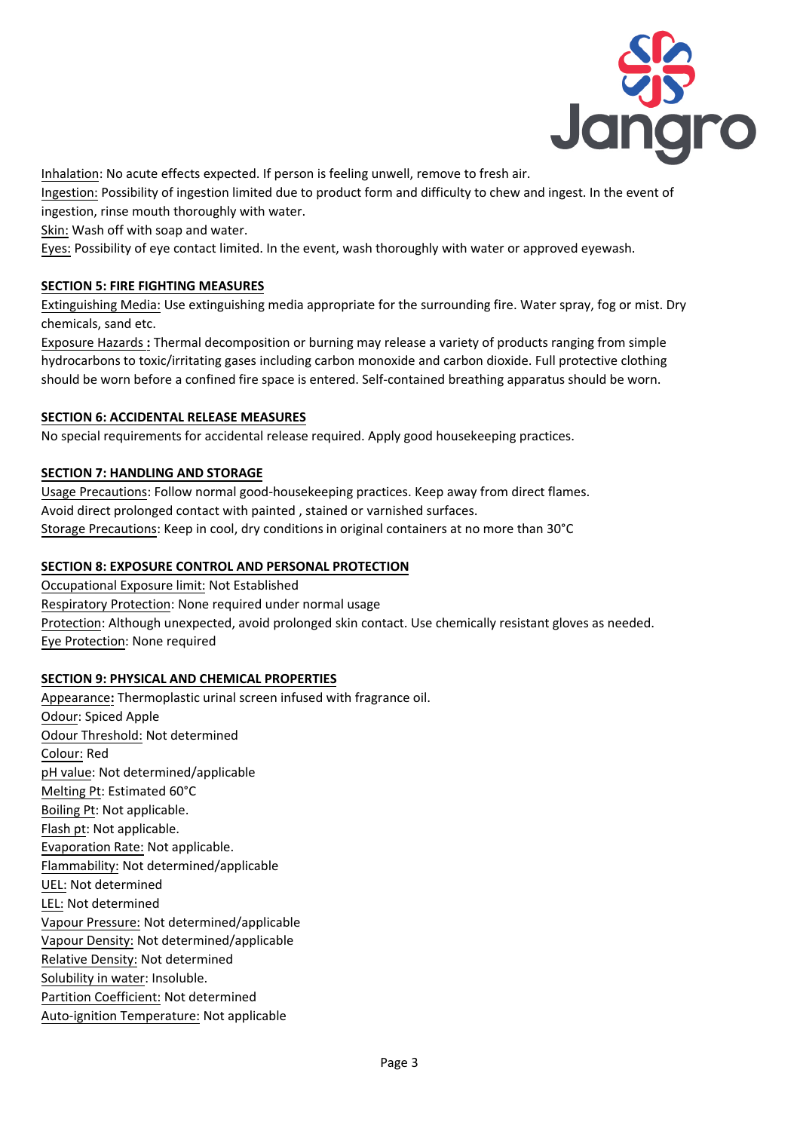

Inhalation: No acute effects expected. If person is feeling unwell, remove to fresh air.

Ingestion: Possibility of ingestion limited due to product form and difficulty to chew and ingest. In the event of ingestion, rinse mouth thoroughly with water.

Skin: Wash off with soap and water.

Eyes: Possibility of eye contact limited. In the event, wash thoroughly with water or approved eyewash.

# **SECTION 5: FIRE FIGHTING MEASURES**

Extinguishing Media: Use extinguishing media appropriate for the surrounding fire. Water spray, fog or mist. Dry chemicals, sand etc.

Exposure Hazards **:** Thermal decomposition or burning may release a variety of products ranging from simple hydrocarbons to toxic/irritating gases including carbon monoxide and carbon dioxide. Full protective clothing should be worn before a confined fire space is entered. Self-contained breathing apparatus should be worn.

## **SECTION 6: ACCIDENTAL RELEASE MEASURES**

No special requirements for accidental release required. Apply good housekeeping practices.

## **SECTION 7: HANDLING AND STORAGE**

Usage Precautions: Follow normal good-housekeeping practices. Keep away from direct flames. Avoid direct prolonged contact with painted , stained or varnished surfaces. Storage Precautions: Keep in cool, dry conditions in original containers at no more than 30°C

# **SECTION 8: EXPOSURE CONTROL AND PERSONAL PROTECTION**

Occupational Exposure limit: Not Established Respiratory Protection: None required under normal usage Protection: Although unexpected, avoid prolonged skin contact. Use chemically resistant gloves as needed. Eye Protection: None required

## **SECTION 9: PHYSICAL AND CHEMICAL PROPERTIES**

Appearance**:** Thermoplastic urinal screen infused with fragrance oil. Odour: Spiced Apple Odour Threshold: Not determined Colour: Red pH value: Not determined/applicable Melting Pt: Estimated 60°C Boiling Pt: Not applicable. Flash pt: Not applicable. Evaporation Rate: Not applicable. Flammability: Not determined/applicable UEL: Not determined LEL: Not determined Vapour Pressure: Not determined/applicable Vapour Density: Not determined/applicable Relative Density: Not determined Solubility in water: Insoluble. Partition Coefficient: Not determined Auto-ignition Temperature: Not applicable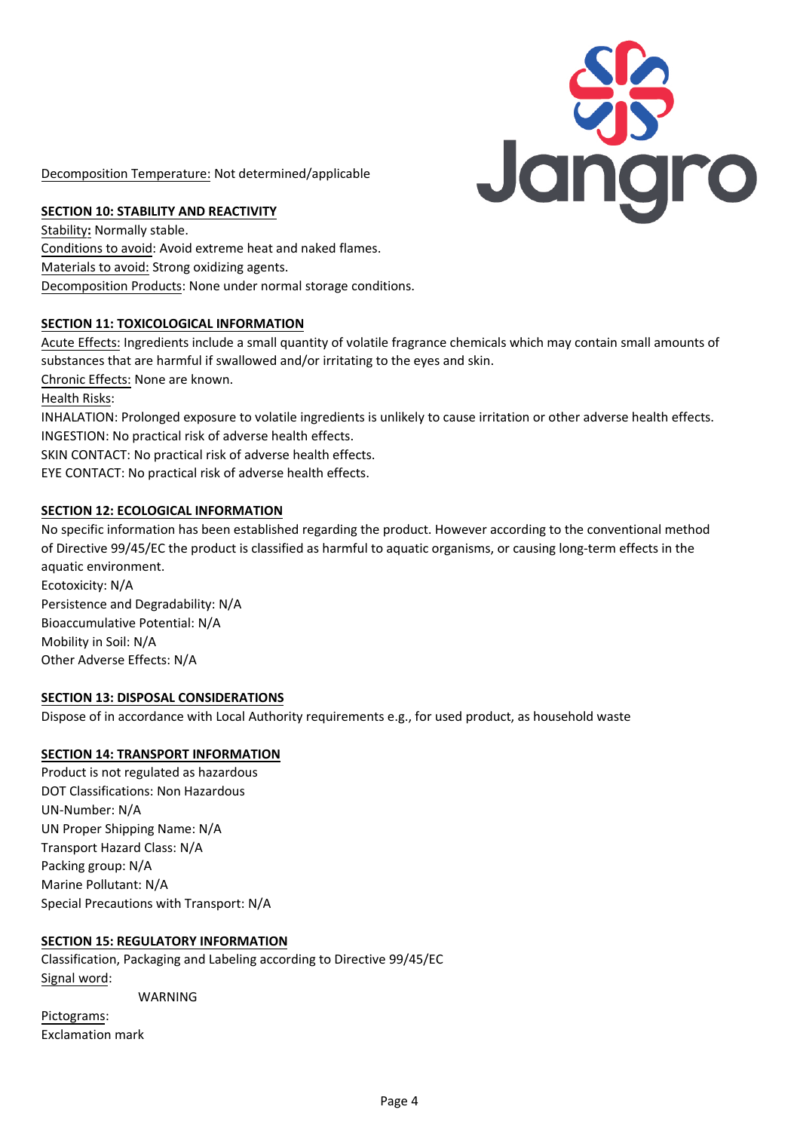

Decomposition Temperature: Not determined/applicable

## **SECTION 10: STABILITY AND REACTIVITY**

Stability**:** Normally stable. Conditions to avoid: Avoid extreme heat and naked flames. Materials to avoid: Strong oxidizing agents. Decomposition Products: None under normal storage conditions.

## **SECTION 11: TOXICOLOGICAL INFORMATION**

Acute Effects: Ingredients include a small quantity of volatile fragrance chemicals which may contain small amounts of substances that are harmful if swallowed and/or irritating to the eyes and skin.

Chronic Effects: None are known.

Health Risks:

INHALATION: Prolonged exposure to volatile ingredients is unlikely to cause irritation or other adverse health effects. INGESTION: No practical risk of adverse health effects.

SKIN CONTACT: No practical risk of adverse health effects.

EYE CONTACT: No practical risk of adverse health effects.

### **SECTION 12: ECOLOGICAL INFORMATION**

No specific information has been established regarding the product. However according to the conventional method of Directive 99/45/EC the product is classified as harmful to aquatic organisms, or causing long-term effects in the aquatic environment. Ecotoxicity: N/A

Persistence and Degradability: N/A Bioaccumulative Potential: N/A Mobility in Soil: N/A Other Adverse Effects: N/A

### **SECTION 13: DISPOSAL CONSIDERATIONS**

Dispose of in accordance with Local Authority requirements e.g., for used product, as household waste

### **SECTION 14: TRANSPORT INFORMATION**

Product is not regulated as hazardous DOT Classifications: Non Hazardous UN-Number: N/A UN Proper Shipping Name: N/A Transport Hazard Class: N/A Packing group: N/A Marine Pollutant: N/A Special Precautions with Transport: N/A

### **SECTION 15: REGULATORY INFORMATION**

Classification, Packaging and Labeling according to Directive 99/45/EC Signal word: WARNING

Pictograms: Exclamation mark